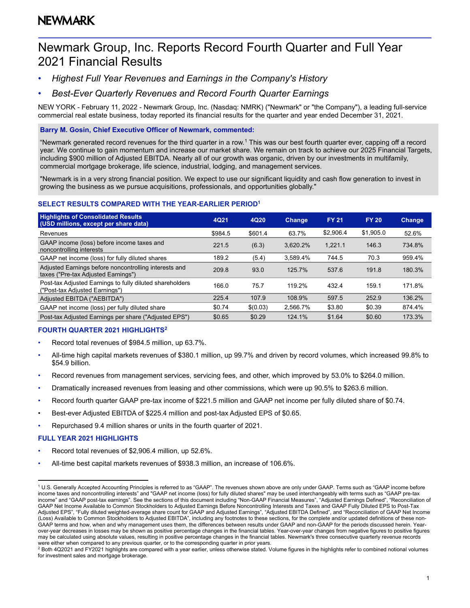# **NEWMARK**

# Newmark Group, Inc. Reports Record Fourth Quarter and Full Year 2021 Financial Results

- *• Highest Full Year Revenues and Earnings in the Company's History*
- *• Best-Ever Quarterly Revenues and Record Fourth Quarter Earnings*

NEW YORK - February 11, 2022 - Newmark Group, Inc. (Nasdaq: NMRK) ("Newmark" or "the Company"), a leading full-service commercial real estate business, today reported its financial results for the quarter and year ended December 31, 2021.

## **Barry M. Gosin, Chief Executive Officer of Newmark, commented:**

"Newmark generated record revenues for the third quarter in a row.1 This was our best fourth quarter ever, capping off a record year. We continue to gain momentum and increase our market share. We remain on track to achieve our 2025 Financial Targets, including \$900 million of Adjusted EBITDA. Nearly all of our growth was organic, driven by our investments in multifamily, commercial mortgage brokerage, life science, industrial, lodging, and management services.

"Newmark is in a very strong financial position. We expect to use our significant liquidity and cash flow generation to invest in growing the business as we pursue acquisitions, professionals, and opportunities globally."

## **SELECT RESULTS COMPARED WITH THE YEAR-EARLIER PERIOD1**

| <b>Highlights of Consolidated Results</b><br>(USD millions, except per share data)           | <b>4021</b> | 4Q20     | <b>Change</b> | <b>FY 21</b> | <b>FY 20</b> | <b>Change</b> |
|----------------------------------------------------------------------------------------------|-------------|----------|---------------|--------------|--------------|---------------|
| Revenues                                                                                     | \$984.5     | \$601.4  | 63.7%         | \$2.906.4    | \$1,905.0    | 52.6%         |
| GAAP income (loss) before income taxes and<br>noncontrolling interests                       | 221.5       | (6.3)    | 3.620.2%      | 1.221.1      | 146.3        | 734.8%        |
| GAAP net income (loss) for fully diluted shares                                              | 189.2       | (5.4)    | 3.589.4%      | 744.5        | 70.3         | 959.4%        |
| Adjusted Earnings before noncontrolling interests and<br>taxes ("Pre-tax Adiusted Earnings") | 209.8       | 93.0     | 125.7%        | 537.6        | 191.8        | 180.3%        |
| Post-tax Adjusted Earnings to fully diluted shareholders<br>("Post-tax Adiusted Earnings")   | 166.0       | 75.7     | 119.2%        | 432.4        | 159.1        | 171.8%        |
| Adjusted EBITDA ("AEBITDA")                                                                  | 225.4       | 107.9    | 108.9%        | 597.5        | 252.9        | 136.2%        |
| GAAP net income (loss) per fully diluted share                                               | \$0.74      | \$(0.03) | 2.566.7%      | \$3.80       | \$0.39       | 874.4%        |
| Post-tax Adjusted Earnings per share ("Adjusted EPS")                                        | \$0.65      | \$0.29   | 124.1%        | \$1.64       | \$0.60       | 173.3%        |

## **FOURTH QUARTER 2021 HIGHLIGHTS2**

- Record total revenues of \$984.5 million, up 63.7%.
- All-time high capital markets revenues of \$380.1 million, up 99.7% and driven by record volumes, which increased 99.8% to \$54.9 billion.
- Record revenues from management services, servicing fees, and other, which improved by 53.0% to \$264.0 million.
- Dramatically increased revenues from leasing and other commissions, which were up 90.5% to \$263.6 million.
- Record fourth quarter GAAP pre-tax income of \$221.5 million and GAAP net income per fully diluted share of \$0.74.
- Best-ever Adjusted EBITDA of \$225.4 million and post-tax Adjusted EPS of \$0.65.
- Repurchased 9.4 million shares or units in the fourth quarter of 2021.

## **FULL YEAR 2021 HIGHLIGHTS**

- Record total revenues of \$2,906.4 million, up 52.6%.
- All-time best capital markets revenues of \$938.3 million, an increase of 106.6%.

<sup>1</sup> U.S. Generally Accepted Accounting Principles is referred to as "GAAP". The revenues shown above are only under GAAP. Terms such as "GAAP income before income taxes and noncontrolling interests" and "GAAP net income (loss) for fully diluted shares" may be used interchangeably with terms such as "GAAP pre-tax income" and "GAAP post-tax earnings". See the sections of this document including "Non-GAAP Financial Measures", "Adjusted Earnings Defined", "Reconciliation of GAAP Net Income Available to Common Stockholders to Adjusted Earnings Before Noncontrolling Interests and Taxes and GAAP Fully Diluted EPS to Post-Tax Adjusted EPS", "Fully diluted weighted-average share count for GAAP and Adjusted Earnings", "Adjusted EBITDA Defined", and "Reconciliation of GAAP Net Income (Loss) Available to Common Stockholders to Adjusted EBITDA", including any footnotes to these sections, for the complete and/or updated definitions of these non-GAAP terms and how, when and why management uses them, the differences between results under GAAP and non-GAAP for the periods discussed herein. Yearover-year decreases in losses may be shown as positive percentage changes in the financial tables. Year-over-year changes from negative figures to positive figures may be calculated using absolute values, resulting in positive percentage changes in the financial tables. Newmark's three consecutive quarterly revenue records were either when compared to any previous quarter, or to the corresponding quarter in prior years.

<sup>&</sup>lt;sup>2</sup> Both 4Q2021 and FY2021 highlights are compared with a year earlier, unless otherwise stated. Volume figures in the highlights refer to combined notional volumes for investment sales and mortgage brokerage.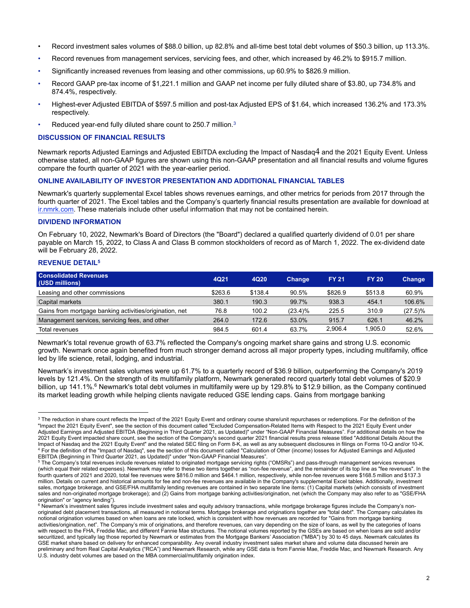- Record investment sales volumes of \$88.0 billion, up 82.8% and all-time best total debt volumes of \$50.3 billion, up 113.3%.
- Record revenues from management services, servicing fees, and other, which increased by 46.2% to \$915.7 million.
- Significantly increased revenues from leasing and other commissions, up 60.9% to \$826.9 million.
- Record GAAP pre-tax income of \$1,221.1 million and GAAP net income per fully diluted share of \$3.80, up 734.8% and 874.4%, respectively.
- Highest-ever Adjusted EBITDA of \$597.5 million and post-tax Adjusted EPS of \$1.64, which increased 136.2% and 173.3% respectively.
- Reduced year-end fully diluted share count to 250.7 million.<sup>3</sup>

#### **DISCUSSION OF FINANCIAL RESULTS**

Newmark reports Adjusted Earnings and Adjusted EBITDA excluding the Impact of Nasdaq4 and the 2021 Equity Event. Unless otherwise stated, all non-GAAP figures are shown using this non-GAAP presentation and all financial results and volume figures compare the fourth quarter of 2021 with the year-earlier period.

## **ONLINE AVAILABILITY OF INVESTOR PRESENTATION AND ADDITIONAL FINANCIAL TABLES**

Newmark's quarterly supplemental Excel tables shows revenues earnings, and other metrics for periods from 2017 through the fourth quarter of 2021. The Excel tables and the Company's quarterly financial results presentation are available for download at ir.nmrk.com. These materials include other useful information that may not be contained herein.

#### **DIVIDEND INFORMATION**

On February 10, 2022, Newmark's Board of Directors (the "Board") declared a qualified quarterly dividend of 0.01 per share payable on March 15, 2022, to Class A and Class B common stockholders of record as of March 1, 2022. The ex-dividend date will be February 28, 2022.

## **REVENUE DETAIL5**

| <b>Consolidated Revenues</b><br>(USD millions)          | 4Q21    | 4Q20    | <b>Change</b> | <b>FY 21</b> | <b>FY 20</b> | Change  |
|---------------------------------------------------------|---------|---------|---------------|--------------|--------------|---------|
| Leasing and other commissions                           | \$263.6 | \$138.4 | 90.5%         | \$826.9      | \$513.8      | 60.9%   |
| Capital markets                                         | 380.1   | 190.3   | 99.7%         | 938.3        | 454.1        | 106.6%  |
| Gains from mortgage banking activities/origination, net | 76.8    | 100.2   | $(23.4)\%$    | 225.5        | 310.9        | (27.5)% |
| Management services, servicing fees, and other          | 264.0   | 172.6   | 53.0%         | 915.7        | 626.1        | 46.2%   |
| Total revenues                                          | 984.5   | 601.4   | 63.7%         | 2.906.4      | .905.0       | 52.6%   |

Newmark's total revenue growth of 63.7% reflected the Company's ongoing market share gains and strong U.S. economic growth. Newmark once again benefited from much stronger demand across all major property types, including multifamily, office led by life science, retail, lodging, and industrial.

Newmark's investment sales volumes were up 61.7% to a quarterly record of \$36.9 billion, outperforming the Company's 2019 levels by 121.4%. On the strength of its multifamily platform, Newmark generated record quarterly total debt volumes of \$20.9 billion, up 141.1%.<sup>6</sup> Newmark's total debt volumes in multifamily were up by 129.8% to \$12.9 billion, as the Company continued its market leading growth while helping clients navigate reduced GSE lending caps. Gains from mortgage banking

 $^3$  The reduction in share count reflects the Impact of the 2021 Equity Event and ordinary course share/unit repurchases or redemptions. For the definition of the "Impact the 2021 Equity Event", see the section of this document called "Excluded Compensation-Related Items with Respect to the 2021 Equity Event under Adjusted Earnings and Adjusted EBITDA (Beginning in Third Quarter 2021, as Updated)" under "Non-GAAP Financial Measures". For additional details on how the 2021 Equity Event impacted share count, see the section of the Company's second quarter 2021 financial results press release titled "Additional Details About the<br>Impact of Nasdaq and the 2021 Equity Event" and the related Impact of Nasdaq and the 2021 Equity Event" and the related SEC filing on Form 8-K, as well as any subsequent disclosures in filings on Forms 10-Q and/or 10-K.<br><sup>4</sup> For the definition of the "Impact of Nasdaq", see the sect EBITDA (Beginning in Third Quarter 2021, as Updated)" under "Non-GAAP Financial Measures".

<sup>5</sup> The Company's total revenues include revenues related to originated mortgage servicing rights ("OMSRs") and pass-through management services revenues (which equal their related expenses). Newmark may refer to these two items together as "non-fee revenue", and the remainder of its top line as "fee revenues". In the fourth quarters of 2021 and 2020, total fee revenues were \$816.0 million and \$464.1 million, respectively, while non-fee revenues were \$168.5 million and \$137.3 million. Details on current and historical amounts for fee and non-fee revenues are available in the Company's supplemental Excel tables. Additionally, investment sales, mortgage brokerage, and GSE/FHA multifamily lending revenues are contained in two separate line items: (1) Capital markets (which consists of investment sales and non-originated mortgage brokerage); and (2) Gains from mortgage banking activities/origination, net (which the Company may also refer to as "GSE/FHA

origination" or "agency lending").<br><sup>6</sup> Newmark's investment sales figures include investment sales and equity advisory transactions, while mortgage brokerage figures include the Company's nonoriginated debt placement transactions, all measured in notional terms. Mortgage brokerage and originations together are "total debt". The Company calculates its notional origination volumes based on when loans are rate locked, which is consistent with how revenues are recorded for "Gains from mortgage banking activities/origination, net". The Company's mix of originations, and therefore revenues, can vary depending on the size of loans, as well by the categories of loans with respect to the FHA, Freddie Mac, and different Fannie Mae structures. The notional volumes reported by the GSEs are based on when loans are sold and/or securitized, and typically lag those reported by Newmark or estimates from the Mortgage Bankers' Association ("MBA") by 30 to 45 days. Newmark calculates its GSE market share based on delivery for enhanced comparability. Any overall industry investment sales market share and volume data discussed herein are preliminary and from Real Capital Analytics ("RCA") and Newmark Research, while any GSE data is from Fannie Mae, Freddie Mac, and Newmark Research. Any U.S. industry debt volumes are based on the MBA commercial/multifamily origination index.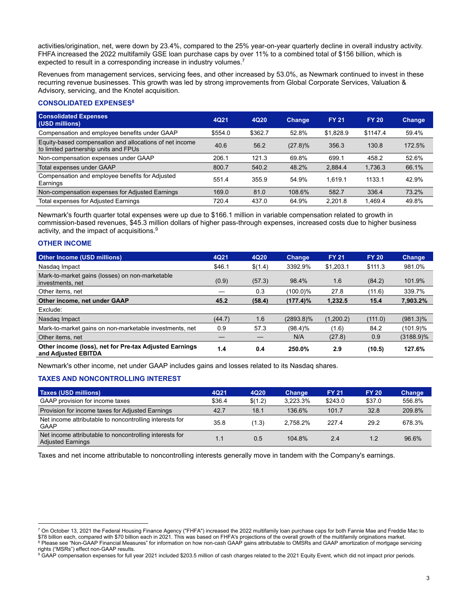activities/origination, net, were down by 23.4%, compared to the 25% year-on-year quarterly decline in overall industry activity. FHFA increased the 2022 multifamily GSE loan purchase caps by over 11% to a combined total of \$156 billion, which is expected to result in a corresponding increase in industry volumes.<sup>7</sup>

Revenues from management services, servicing fees, and other increased by 53.0%, as Newmark continued to invest in these recurring revenue businesses. This growth was led by strong improvements from Global Corporate Services, Valuation & Advisory, servicing, and the Knotel acquisition.

## **CONSOLIDATED EXPENSES8**

| <b>Consolidated Expenses</b><br>(USD millions)                                                   | 4Q21    | 4Q20    | Change     | <b>FY 21</b> | <b>FY 20</b> | <b>Change</b> |
|--------------------------------------------------------------------------------------------------|---------|---------|------------|--------------|--------------|---------------|
| Compensation and employee benefits under GAAP                                                    | \$554.0 | \$362.7 | 52.8%      | \$1.828.9    | \$1147.4     | 59.4%         |
| Equity-based compensation and allocations of net income<br>to limited partnership units and FPUs | 40.6    | 56.2    | $(27.8)\%$ | 356.3        | 130.8        | 172.5%        |
| Non-compensation expenses under GAAP                                                             | 206.1   | 121.3   | 69.8%      | 699.1        | 458.2        | 52.6%         |
| <b>Total expenses under GAAP</b>                                                                 | 800.7   | 540.2   | 48.2%      | 2.884.4      | 1.736.3      | 66.1%         |
| Compensation and employee benefits for Adjusted<br>Earnings                                      | 551.4   | 355.9   | 54.9%      | 1.619.1      | 1133.1       | 42.9%         |
| Non-compensation expenses for Adjusted Earnings                                                  | 169.0   | 81.0    | 108.6%     | 582.7        | 336.4        | 73.2%         |
| Total expenses for Adjusted Earnings                                                             | 720.4   | 437.0   | 64.9%      | 2.201.8      | 1.469.4      | 49.8%         |

Newmark's fourth quarter total expenses were up due to \$166.1 million in variable compensation related to growth in commission-based revenues, \$45.3 million dollars of higher pass-through expenses, increased costs due to higher business activity, and the impact of acquisitions.9

#### **OTHER INCOME**

| <b>Other Income (USD millions)</b>                                            | 4Q21   | 4Q20    | <b>Change</b> | <b>FY 21</b> | <b>FY 20</b> | <b>Change</b> |
|-------------------------------------------------------------------------------|--------|---------|---------------|--------------|--------------|---------------|
| Nasdag Impact                                                                 | \$46.1 | \$(1.4) | 3392.9%       | \$1,203.1    | \$111.3      | 981.0%        |
| Mark-to-market gains (losses) on non-marketable<br>investments, net           | (0.9)  | (57.3)  | 98.4%         | 1.6          | (84.2)       | 101.9%        |
| Other items, net                                                              |        | 0.3     | $(100.0)\%$   | 27.8         | (11.6)       | 339.7%        |
| Other income, net under GAAP                                                  | 45.2   | (58.4)  | $(177.4)\%$   | 1,232.5      | 15.4         | 7,903.2%      |
| Exclude:                                                                      |        |         |               |              |              |               |
| Nasdag Impact                                                                 | (44.7) | 1.6     | $(2893.8)\%$  | (1,200.2)    | (111.0)      | $(981.3)\%$   |
| Mark-to-market gains on non-marketable investments, net                       | 0.9    | 57.3    | $(98.4)\%$    | (1.6)        | 84.2         | $(101.9)\%$   |
| Other items, net                                                              |        |         | N/A           | (27.8)       | 0.9          | $(3188.9)\%$  |
| Other income (loss), net for Pre-tax Adjusted Earnings<br>and Adiusted EBITDA | 1.4    | 0.4     | 250.0%        | 2.9          | (10.5)       | 127.6%        |

Newmark's other income, net under GAAP includes gains and losses related to its Nasdaq shares.

#### **TAXES AND NONCONTROLLING INTEREST**

| Taxes (USD millions)                                                                | 4Q21   | 4Q20    | <b>Change</b> | <b>FY 21</b> | <b>FY 20</b> | <b>Change</b> |
|-------------------------------------------------------------------------------------|--------|---------|---------------|--------------|--------------|---------------|
| GAAP provision for income taxes                                                     | \$36.4 | \$(1.2) | 3.223.3%      | \$243.0      | \$37.0       | 556.8%        |
| Provision for income taxes for Adjusted Earnings                                    | 42.7   | 18.1    | 136.6%        | 101.7        | 32.8         | 209.8%        |
| Net income attributable to noncontrolling interests for<br><b>GAAP</b>              | 35.8   | (1.3)   | 2.758.2%      | 227.4        | 29.2         | 678.3%        |
| Net income attributable to noncontrolling interests for<br><b>Adjusted Earnings</b> | 1.1    | 0.5     | 104.8%        | 2.4          | 1.2          | 96.6%         |

Taxes and net income attributable to noncontrolling interests generally move in tandem with the Company's earnings.

<sup>&</sup>lt;sup>7</sup> On October 13, 2021 the Federal Housing Finance Agency ("FHFA") increased the 2022 multifamily loan purchase caps for both Fannie Mae and Freddie Mac to \$78 billion each, compared with \$70 billion each in 2021. This was based on FHFA's projections of the overall growth of the multifamily originations market.<br><sup>8</sup> Please see "Non-GAAP Financial Measures" for information on h

<sup>&</sup>lt;sup>9</sup> GAAP compensation expenses for full year 2021 included \$203.5 million of cash charges related to the 2021 Equity Event, which did not impact prior periods.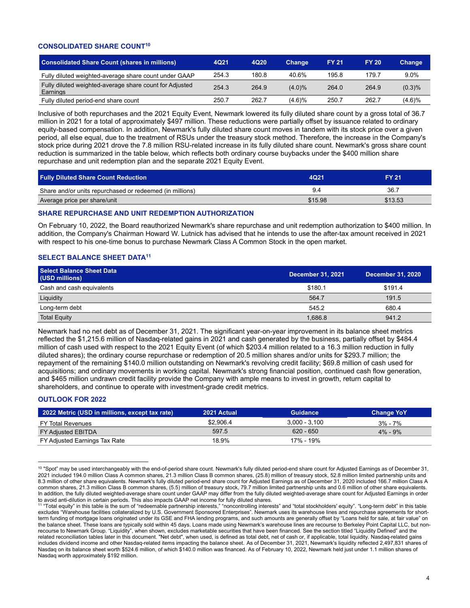## **CONSOLIDATED SHARE COUNT10**

| <b>Consolidated Share Count (shares in millions)</b>                | 4Q21  | 4Q20  | <b>Change</b> | <b>FY 21</b> | <b>FY 20</b> | <b>Change</b> |
|---------------------------------------------------------------------|-------|-------|---------------|--------------|--------------|---------------|
| Fully diluted weighted-average share count under GAAP               | 254.3 | 180.8 | 40.6%         | 195.8        | 179.7        | 9.0%          |
| Fully diluted weighted-average share count for Adjusted<br>Earnings | 254.3 | 264.9 | $(4.0)\%$     | 264.0        | 264.9        | (0.3)%        |
| Fully diluted period-end share count                                | 250.7 | 262.7 | (4.6)%        | 250.7        | 262.7        | (4.6)%        |

Inclusive of both repurchases and the 2021 Equity Event, Newmark lowered its fully diluted share count by a gross total of 36.7 million in 2021 for a total of approximately \$497 million. These reductions were partially offset by issuance related to ordinary equity-based compensation. In addition, Newmark's fully diluted share count moves in tandem with its stock price over a given period, all else equal, due to the treatment of RSUs under the treasury stock method. Therefore, the increase in the Company's stock price during 2021 drove the 7.8 million RSU-related increase in its fully diluted share count. Newmark's gross share count reduction is summarized in the table below, which reflects both ordinary course buybacks under the \$400 million share repurchase and unit redemption plan and the separate 2021 Equity Event.

| <b>Fully Diluted Share Count Reduction</b>               | 4021    | <b>FY 21</b> |
|----------------------------------------------------------|---------|--------------|
| Share and/or units repurchased or redeemed (in millions) |         | 36.7         |
| Average price per share/unit                             | \$15.98 | \$13.53      |

#### **SHARE REPURCHASE AND UNIT REDEMPTION AUTHORIZATION**

On February 10, 2022, the Board reauthorized Newmark's share repurchase and unit redemption authorization to \$400 million. In addition, the Company's Chairman Howard W. Lutnick has advised that he intends to use the after-tax amount received in 2021 with respect to his one-time bonus to purchase Newmark Class A Common Stock in the open market.

## **SELECT BALANCE SHEET DATA<sup>11</sup>**

| <b>Select Balance Sheet Data</b><br>(USD millions) | <b>December 31, 2021</b> | December 31, 2020 |
|----------------------------------------------------|--------------------------|-------------------|
| Cash and cash equivalents                          | \$180.1                  | \$191.4           |
| Liquidity                                          | 564.7                    | 191.5             |
| Long-term debt                                     | 545.2                    | 680.4             |
| <b>Total Equity</b>                                | 1,686.8                  | 941.2             |

Newmark had no net debt as of December 31, 2021. The significant year-on-year improvement in its balance sheet metrics reflected the \$1,215.6 million of Nasdaq-related gains in 2021 and cash generated by the business, partially offset by \$484.4 million of cash used with respect to the 2021 Equity Event (of which \$203.4 million related to a 16.3 million reduction in fully diluted shares); the ordinary course repurchase or redemption of 20.5 million shares and/or units for \$293.7 million; the repayment of the remaining \$140.0 million outstanding on Newmark's revolving credit facility; \$69.8 million of cash used for acquisitions; and ordinary movements in working capital. Newmark's strong financial position, continued cash flow generation, and \$465 million undrawn credit facility provide the Company with ample means to invest in growth, return capital to shareholders, and continue to operate with investment-grade credit metrics.

#### **OUTLOOK FOR 2022**

| 2022 Metric (USD in millions, except tax rate) | 2021 Actual | <b>Guidance</b> | <b>Change YoY</b> |
|------------------------------------------------|-------------|-----------------|-------------------|
| FY Total Revenues                              | \$2.906.4   | $3.000 - 3.100$ | $3\% - 7\%$       |
| <b>FY Adiusted EBITDA</b>                      | 597.5       | $620 - 650$     | $4\% - 9\%$       |
| FY Adjusted Earnings Tax Rate                  | 18.9%       | 17% - 19%       |                   |

<sup>&</sup>lt;sup>10</sup> "Spot" may be used interchangeably with the end-of-period share count. Newmark's fully diluted period-end share count for Adjusted Earnings as of December 31, 2021 included 194.0 million Class A common shares, 21.3 million Class B common shares, (25.8) million of treasury stock, 52.8 million limited partnership units and 8.3 million of other share equivalents. Newmark's fully diluted period-end share count for Adjusted Earnings as of December 31, 2020 included 166.7 million Class A common shares, 21.3 million Class B common shares, (5.5) million of treasury stock, 79.7 million limited partnership units and 0.6 million of other share equivalents. In addition, the fully diluted weighted-average share count under GAAP may differ from the fully diluted weighted-average share count for Adjusted Earnings in order

to avoid anti-dilution in certain periods. This also impacts GAAP net income for fully diluted shares.<br><sup>11</sup> "Total equity" in this table is the sum of "redeemable partnership interests," "noncontrolling interests" and "tot excludes "Warehouse facilities collateralized by U.S. Government Sponsored Enterprises". Newmark uses its warehouse lines and repurchase agreements for shortterm funding of mortgage loans originated under its GSE and FHA lending programs, and such amounts are generally offset by "Loans held for sale, at fair value" on the balance sheet. These loans are typically sold within 45 days. Loans made using Newmark's warehouse lines are recourse to Berkeley Point Capital LLC, but nonrecourse to Newmark Group. "Liquidity", when shown, excludes marketable securities that have been financed. See the section titled "Liquidity Defined" and the related reconciliation tables later in this document. "Net debt", when used, is defined as total debt, net of cash or, if applicable, total liquidity. Nasdaq-related gains includes dividend income and other Nasdaq-related items impacting the balance sheet. As of December 31, 2021, Newmark's liquidity reflected 2,497,831 shares of Nasdaq on its balance sheet worth \$524.6 million, of which \$140.0 million was financed. As of February 10, 2022, Newmark held just under 1.1 million shares of Nasdaq worth approximately \$192 million.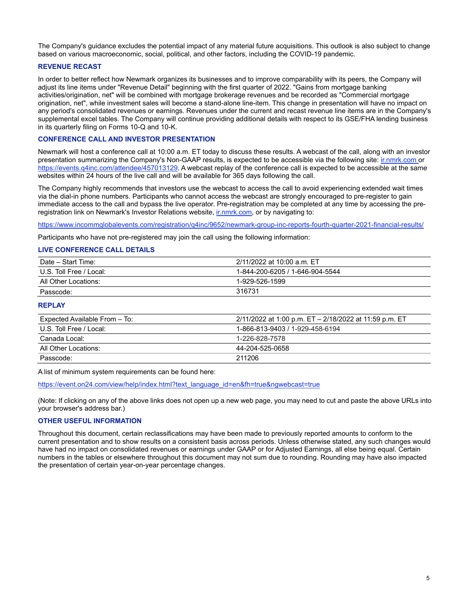The Company's guidance excludes the potential impact of any material future acquisitions. This outlook is also subject to change based on various macroeconomic, social, political, and other factors, including the COVID-19 pandemic.

#### **REVENUE RECAST**

In order to better reflect how Newmark organizes its businesses and to improve comparability with its peers, the Company will adjust its line items under "Revenue Detail" beginning with the first quarter of 2022. "Gains from mortgage banking activities/origination, net" will be combined with mortgage brokerage revenues and be recorded as "Commercial mortgage origination, net", while investment sales will become a stand-alone line-item. This change in presentation will have no impact on any period's consolidated revenues or earnings. Revenues under the current and recast revenue line items are in the Company's supplemental excel tables. The Company will continue providing additional details with respect to its GSE/FHA lending business in its quarterly filing on Forms 10-Q and 10-K.

## **CONFERENCE CALL AND INVESTOR PRESENTATION**

Newmark will host a conference call at 10:00 a.m. ET today to discuss these results. A webcast of the call, along with an investor presentation summarizing the Company's Non-GAAP results, is expected to be accessible via the following site: ir.nmrk.com or https://events.q4inc.com/attendee/457013129. A webcast replay of the conference call is expected to be accessible at the same websites within 24 hours of the live call and will be available for 365 days following the call.

The Company highly recommends that investors use the webcast to access the call to avoid experiencing extended wait times via the dial-in phone numbers. Participants who cannot access the webcast are strongly encouraged to pre-register to gain immediate access to the call and bypass the live operator. Pre-registration may be completed at any time by accessing the preregistration link on Newmark's Investor Relations website, ir.nmrk.com, or by navigating to:

https://www.incommglobalevents.com/registration/q4inc/9652/newmark-group-inc-reports-fourth-quarter-2021-financial-results/

Participants who have not pre-registered may join the call using the following information:

#### **LIVE CONFERENCE CALL DETAILS**

| Date – Start Time:      | 2/11/2022 at 10:00 a.m. ET      |
|-------------------------|---------------------------------|
| U.S. Toll Free / Local: | 1-844-200-6205 / 1-646-904-5544 |
| All Other Locations:    | 1-929-526-1599                  |
| Passcode:               | 316731                          |

## **REPLAY**

| Expected Available From - To: | 2/11/2022 at 1:00 p.m. ET - 2/18/2022 at 11:59 p.m. ET |
|-------------------------------|--------------------------------------------------------|
| U.S. Toll Free / Local:       | 1-866-813-9403 / 1-929-458-6194                        |
| Canada Local:                 | 1-226-828-7578                                         |
| All Other Locations:          | 44-204-525-0658                                        |
| Passcode:                     | 211206                                                 |

A list of minimum system requirements can be found here:

https://event.on24.com/view/help/index.html?text\_language\_id=en&fh=true&ngwebcast=true

(Note: If clicking on any of the above links does not open up a new web page, you may need to cut and paste the above URLs into your browser's address bar.)

#### **OTHER USEFUL INFORMATION**

Throughout this document, certain reclassifications may have been made to previously reported amounts to conform to the current presentation and to show results on a consistent basis across periods. Unless otherwise stated, any such changes would have had no impact on consolidated revenues or earnings under GAAP or for Adjusted Earnings, all else being equal. Certain numbers in the tables or elsewhere throughout this document may not sum due to rounding. Rounding may have also impacted the presentation of certain year-on-year percentage changes.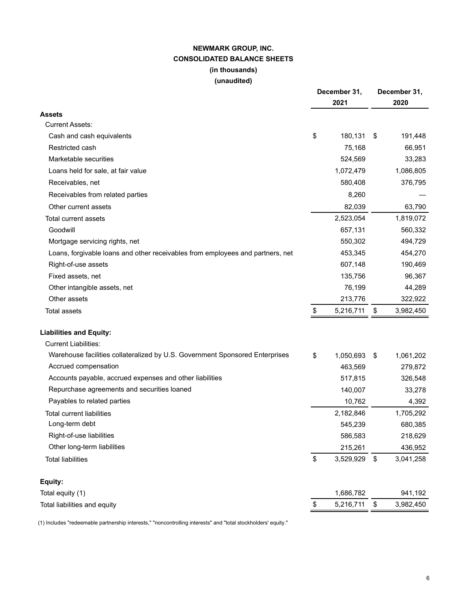## **NEWMARK GROUP, INC. CONSOLIDATED BALANCE SHEETS (in thousands) (unaudited)**

|                                                                                |                            | December 31,<br>2021 |    | December 31,<br>2020 |  |
|--------------------------------------------------------------------------------|----------------------------|----------------------|----|----------------------|--|
| Assets                                                                         |                            |                      |    |                      |  |
| <b>Current Assets:</b>                                                         |                            |                      |    |                      |  |
| Cash and cash equivalents                                                      | \$                         | 180,131              | \$ | 191,448              |  |
| Restricted cash                                                                |                            | 75,168               |    | 66,951               |  |
| Marketable securities                                                          |                            | 524,569              |    | 33,283               |  |
| Loans held for sale, at fair value                                             |                            | 1,072,479            |    | 1,086,805            |  |
| Receivables, net                                                               |                            | 580,408              |    | 376,795              |  |
| Receivables from related parties                                               |                            | 8,260                |    |                      |  |
| Other current assets                                                           |                            | 82,039               |    | 63,790               |  |
| Total current assets                                                           |                            | 2,523,054            |    | 1,819,072            |  |
| Goodwill                                                                       |                            | 657,131              |    | 560,332              |  |
| Mortgage servicing rights, net                                                 |                            | 550,302              |    | 494,729              |  |
| Loans, forgivable loans and other receivables from employees and partners, net |                            | 453,345              |    | 454,270              |  |
| Right-of-use assets                                                            |                            | 607,148              |    | 190,469              |  |
| Fixed assets, net                                                              |                            | 135,756              |    | 96,367               |  |
| Other intangible assets, net                                                   |                            | 76,199               |    | 44,289               |  |
| Other assets                                                                   |                            | 213,776              |    | 322,922              |  |
| <b>Total assets</b>                                                            | \$                         | 5,216,711            | \$ | 3,982,450            |  |
| <b>Liabilities and Equity:</b>                                                 |                            |                      |    |                      |  |
| <b>Current Liabilities:</b>                                                    |                            |                      |    |                      |  |
| Warehouse facilities collateralized by U.S. Government Sponsored Enterprises   | \$                         | 1,050,693            | \$ | 1,061,202            |  |
| Accrued compensation                                                           |                            | 463,569              |    | 279,872              |  |
| Accounts payable, accrued expenses and other liabilities                       |                            | 517,815              |    | 326,548              |  |
| Repurchase agreements and securities loaned                                    |                            | 140,007              |    | 33,278               |  |
| Payables to related parties                                                    |                            | 10,762               |    | 4,392                |  |
| Total current liabilities                                                      |                            | 2,182,846            |    | 1,705,292            |  |
| Long-term debt                                                                 |                            | 545,239              |    | 680,385              |  |
| Right-of-use liabilities                                                       |                            | 586,583              |    | 218,629              |  |
| Other long-term liabilities                                                    |                            | 215,261              |    | 436,952              |  |
| <b>Total liabilities</b>                                                       | $\boldsymbol{\mathsf{\$}}$ | 3,529,929            | \$ | 3,041,258            |  |
| Equity:                                                                        |                            |                      |    |                      |  |
| Total equity (1)                                                               |                            | 1,686,782            |    | 941,192              |  |
| Total liabilities and equity                                                   | \$                         | 5,216,711            | \$ | 3,982,450            |  |

(1) Includes "redeemable partnership interests," "noncontrolling interests" and "total stockholders' equity."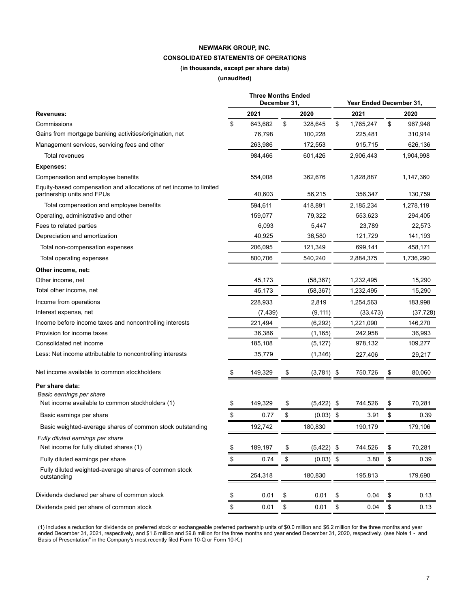## **NEWMARK GROUP, INC. CONSOLIDATED STATEMENTS OF OPERATIONS (in thousands, except per share data)**

#### **(unaudited)**

|                                                                                                  | <b>Three Months Ended</b><br>December 31, |          |    |              |    | Year Ended December 31, |    |           |  |
|--------------------------------------------------------------------------------------------------|-------------------------------------------|----------|----|--------------|----|-------------------------|----|-----------|--|
| <b>Revenues:</b>                                                                                 |                                           | 2021     |    | 2020         |    | 2021                    |    | 2020      |  |
| Commissions                                                                                      | \$                                        | 643,682  | \$ | 328,645      | \$ | 1,765,247               | \$ | 967,948   |  |
| Gains from mortgage banking activities/origination, net                                          |                                           | 76,798   |    | 100,228      |    | 225,481                 |    | 310,914   |  |
| Management services, servicing fees and other                                                    |                                           | 263,986  |    | 172,553      |    | 915,715                 |    | 626,136   |  |
| Total revenues                                                                                   |                                           | 984,466  |    | 601,426      |    | 2,906,443               |    | 1,904,998 |  |
| <b>Expenses:</b>                                                                                 |                                           |          |    |              |    |                         |    |           |  |
| Compensation and employee benefits                                                               |                                           | 554,008  |    | 362,676      |    | 1,828,887               |    | 1,147,360 |  |
| Equity-based compensation and allocations of net income to limited<br>partnership units and FPUs |                                           | 40,603   |    | 56,215       |    | 356,347                 |    | 130,759   |  |
| Total compensation and employee benefits                                                         |                                           | 594,611  |    | 418,891      |    | 2,185,234               |    | 1,278,119 |  |
| Operating, administrative and other                                                              |                                           | 159,077  |    | 79,322       |    | 553,623                 |    | 294,405   |  |
| Fees to related parties                                                                          |                                           | 6,093    |    | 5,447        |    | 23,789                  |    | 22,573    |  |
| Depreciation and amortization                                                                    |                                           | 40,925   |    | 36,580       |    | 121,729                 |    | 141,193   |  |
| Total non-compensation expenses                                                                  |                                           | 206,095  |    | 121,349      |    | 699,141                 |    | 458,171   |  |
| Total operating expenses                                                                         |                                           | 800,706  |    | 540,240      |    | 2,884,375               |    | 1,736,290 |  |
| Other income, net:                                                                               |                                           |          |    |              |    |                         |    |           |  |
| Other income, net                                                                                |                                           | 45,173   |    | (58,367)     |    | 1,232,495               |    | 15,290    |  |
| Total other income, net                                                                          |                                           | 45,173   |    | (58, 367)    |    | 1,232,495               |    | 15,290    |  |
| Income from operations                                                                           |                                           | 228,933  |    | 2,819        |    | 1,254,563               |    | 183,998   |  |
| Interest expense, net                                                                            |                                           | (7, 439) |    | (9, 111)     |    | (33, 473)               |    | (37, 728) |  |
| Income before income taxes and noncontrolling interests                                          |                                           | 221,494  |    | (6, 292)     |    | 1,221,090               |    | 146,270   |  |
| Provision for income taxes                                                                       |                                           | 36,386   |    | (1, 165)     |    | 242,958                 |    | 36,993    |  |
| Consolidated net income                                                                          |                                           | 185,108  |    | (5, 127)     |    | 978,132                 |    | 109,277   |  |
| Less: Net income attributable to noncontrolling interests                                        |                                           | 35,779   |    | (1,346)      |    | 227,406                 |    | 29,217    |  |
| Net income available to common stockholders                                                      | \$                                        | 149,329  | \$ | $(3,781)$ \$ |    | 750,726                 | \$ | 80,060    |  |
| Per share data:                                                                                  |                                           |          |    |              |    |                         |    |           |  |
| Basic earnings per share<br>Net income available to common stockholders (1)                      | \$                                        | 149,329  | \$ | $(5,422)$ \$ |    | 744,526                 | \$ | 70,281    |  |
| Basic earnings per share                                                                         | \$                                        | 0.77     | \$ | $(0.03)$ \$  |    | 3.91                    | \$ | 0.39      |  |
| Basic weighted-average shares of common stock outstanding                                        |                                           | 192,742  |    | 180,830      |    | 190,179                 |    | 179,106   |  |
| Fully diluted earnings per share                                                                 |                                           |          |    |              |    |                         |    |           |  |
| Net income for fully diluted shares (1)                                                          | \$                                        | 189,197  | \$ | $(5,422)$ \$ |    | 744,526                 | \$ | 70,281    |  |
| Fully diluted earnings per share                                                                 | \$                                        | 0.74     | \$ | $(0.03)$ \$  |    | 3.80                    | \$ | 0.39      |  |
| Fully diluted weighted-average shares of common stock<br>outstanding                             |                                           | 254,318  |    | 180,830      |    | 195,813                 |    | 179,690   |  |
| Dividends declared per share of common stock                                                     | \$                                        | 0.01     | \$ | 0.01         | \$ | 0.04                    | \$ | 0.13      |  |
| Dividends paid per share of common stock                                                         | \$                                        | 0.01     | \$ | 0.01         | \$ | 0.04                    | \$ | 0.13      |  |

(1) Includes a reduction for dividends on preferred stock or exchangeable preferred partnership units of \$0.0 million and \$6.2 million for the three months and year ended December 31, 2021, respectively, and \$1.6 million and \$9.8 million for the three months and year ended December 31, 2020, respectively. (see Note 1 - and Basis of Presentation" in the Company's most recently filed Form 10-Q or Form 10-K.)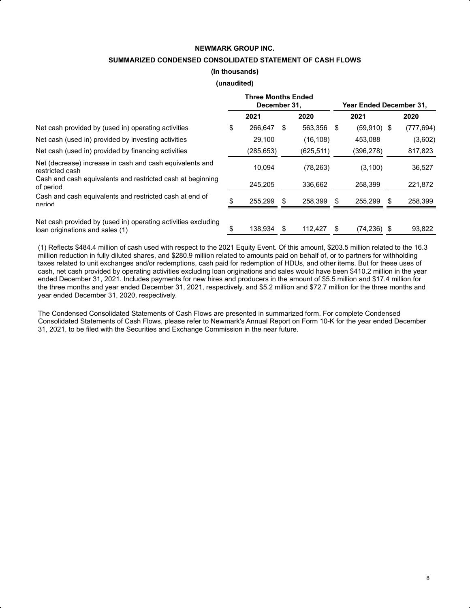#### **NEWMARK GROUP INC.**

## **SUMMARIZED CONDENSED CONSOLIDATED STATEMENT OF CASH FLOWS**

## **(In thousands)**

#### **(unaudited)**

|                                                                                                  | <b>Three Months Ended</b><br>December 31. |    |           | Year Ended December 31, |    |            |
|--------------------------------------------------------------------------------------------------|-------------------------------------------|----|-----------|-------------------------|----|------------|
|                                                                                                  | 2021                                      |    | 2020      | 2021                    |    | 2020       |
| Net cash provided by (used in) operating activities                                              | \$<br>266,647                             | \$ | 563,356   | \$<br>$(59,910)$ \$     |    | (777, 694) |
| Net cash (used in) provided by investing activities                                              | 29,100                                    |    | (16, 108) | 453.088                 |    | (3,602)    |
| Net cash (used in) provided by financing activities                                              | (285,653)                                 |    | (625,511) | (396,278)               |    | 817,823    |
| Net (decrease) increase in cash and cash equivalents and<br>restricted cash                      | 10.094                                    |    | (78, 263) | (3, 100)                |    | 36,527     |
| Cash and cash equivalents and restricted cash at beginning<br>of period                          | 245,205                                   |    | 336.662   | 258,399                 |    | 221,872    |
| Cash and cash equivalents and restricted cash at end of<br>period                                | \$<br>255.299                             | \$ | 258.399   | \$<br>255.299           | \$ | 258,399    |
| Net cash provided by (used in) operating activities excluding<br>loan originations and sales (1) | \$<br>138.934                             | \$ | 112.427   | \$<br>$(74, 236)$ \$    |    | 93.822     |

(1) Reflects \$484.4 million of cash used with respect to the 2021 Equity Event. Of this amount, \$203.5 million related to the 16.3 million reduction in fully diluted shares, and \$280.9 million related to amounts paid on behalf of, or to partners for withholding taxes related to unit exchanges and/or redemptions, cash paid for redemption of HDUs, and other items. But for these uses of cash, net cash provided by operating activities excluding loan originations and sales would have been \$410.2 million in the year ended December 31, 2021. Includes payments for new hires and producers in the amount of \$5.5 million and \$17.4 million for the three months and year ended December 31, 2021, respectively, and \$5.2 million and \$72.7 million for the three months and year ended December 31, 2020, respectively.

The Condensed Consolidated Statements of Cash Flows are presented in summarized form. For complete Condensed Consolidated Statements of Cash Flows, please refer to Newmark's Annual Report on Form 10-K for the year ended December 31, 2021, to be filed with the Securities and Exchange Commission in the near future.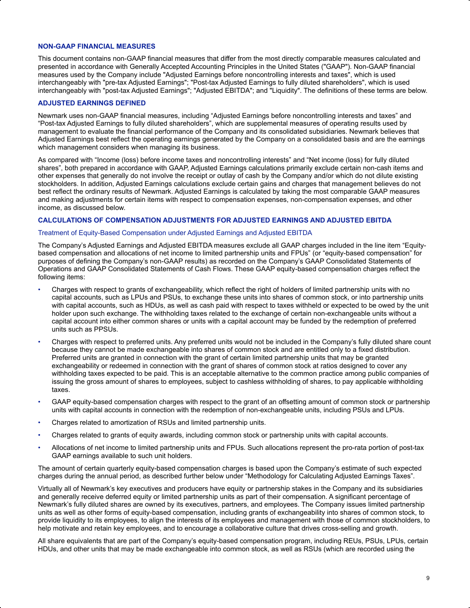#### **NON-GAAP FINANCIAL MEASURES**

This document contains non-GAAP financial measures that differ from the most directly comparable measures calculated and presented in accordance with Generally Accepted Accounting Principles in the United States ("GAAP"). Non-GAAP financial measures used by the Company include "Adjusted Earnings before noncontrolling interests and taxes", which is used interchangeably with "pre-tax Adjusted Earnings"; "Post-tax Adjusted Earnings to fully diluted shareholders", which is used interchangeably with "post-tax Adjusted Earnings"; "Adjusted EBITDA"; and "Liquidity". The definitions of these terms are below.

## **ADJUSTED EARNINGS DEFINED**

Newmark uses non-GAAP financial measures, including "Adjusted Earnings before noncontrolling interests and taxes" and "Post-tax Adjusted Earnings to fully diluted shareholders", which are supplemental measures of operating results used by management to evaluate the financial performance of the Company and its consolidated subsidiaries. Newmark believes that Adjusted Earnings best reflect the operating earnings generated by the Company on a consolidated basis and are the earnings which management considers when managing its business.

As compared with "Income (loss) before income taxes and noncontrolling interests" and "Net income (loss) for fully diluted shares", both prepared in accordance with GAAP, Adjusted Earnings calculations primarily exclude certain non-cash items and other expenses that generally do not involve the receipt or outlay of cash by the Company and/or which do not dilute existing stockholders. In addition, Adjusted Earnings calculations exclude certain gains and charges that management believes do not best reflect the ordinary results of Newmark. Adjusted Earnings is calculated by taking the most comparable GAAP measures and making adjustments for certain items with respect to compensation expenses, non-compensation expenses, and other income, as discussed below.

### **CALCULATIONS OF COMPENSATION ADJUSTMENTS FOR ADJUSTED EARNINGS AND ADJUSTED EBITDA**

#### Treatment of Equity-Based Compensation under Adjusted Earnings and Adjusted EBITDA

The Company's Adjusted Earnings and Adjusted EBITDA measures exclude all GAAP charges included in the line item "Equitybased compensation and allocations of net income to limited partnership units and FPUs" (or "equity-based compensation" for purposes of defining the Company's non-GAAP results) as recorded on the Company's GAAP Consolidated Statements of Operations and GAAP Consolidated Statements of Cash Flows. These GAAP equity-based compensation charges reflect the following items:

- Charges with respect to grants of exchangeability, which reflect the right of holders of limited partnership units with no capital accounts, such as LPUs and PSUs, to exchange these units into shares of common stock, or into partnership units with capital accounts, such as HDUs, as well as cash paid with respect to taxes withheld or expected to be owed by the unit holder upon such exchange. The withholding taxes related to the exchange of certain non-exchangeable units without a capital account into either common shares or units with a capital account may be funded by the redemption of preferred units such as PPSUs.
- Charges with respect to preferred units. Any preferred units would not be included in the Company's fully diluted share count because they cannot be made exchangeable into shares of common stock and are entitled only to a fixed distribution. Preferred units are granted in connection with the grant of certain limited partnership units that may be granted exchangeability or redeemed in connection with the grant of shares of common stock at ratios designed to cover any withholding taxes expected to be paid. This is an acceptable alternative to the common practice among public companies of issuing the gross amount of shares to employees, subject to cashless withholding of shares, to pay applicable withholding taxes.
- GAAP equity-based compensation charges with respect to the grant of an offsetting amount of common stock or partnership units with capital accounts in connection with the redemption of non-exchangeable units, including PSUs and LPUs.
- Charges related to amortization of RSUs and limited partnership units.
- Charges related to grants of equity awards, including common stock or partnership units with capital accounts.
- Allocations of net income to limited partnership units and FPUs. Such allocations represent the pro-rata portion of post-tax GAAP earnings available to such unit holders.

The amount of certain quarterly equity-based compensation charges is based upon the Company's estimate of such expected charges during the annual period, as described further below under "Methodology for Calculating Adjusted Earnings Taxes".

Virtually all of Newmark's key executives and producers have equity or partnership stakes in the Company and its subsidiaries and generally receive deferred equity or limited partnership units as part of their compensation. A significant percentage of Newmark's fully diluted shares are owned by its executives, partners, and employees. The Company issues limited partnership units as well as other forms of equity-based compensation, including grants of exchangeability into shares of common stock, to provide liquidity to its employees, to align the interests of its employees and management with those of common stockholders, to help motivate and retain key employees, and to encourage a collaborative culture that drives cross-selling and growth.

All share equivalents that are part of the Company's equity-based compensation program, including REUs, PSUs, LPUs, certain HDUs, and other units that may be made exchangeable into common stock, as well as RSUs (which are recorded using the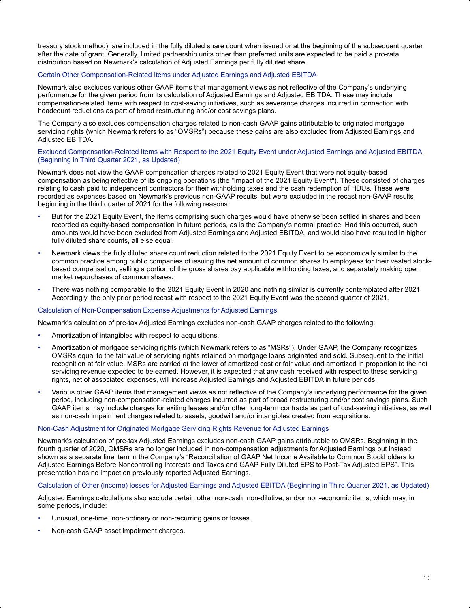treasury stock method), are included in the fully diluted share count when issued or at the beginning of the subsequent quarter after the date of grant. Generally, limited partnership units other than preferred units are expected to be paid a pro-rata distribution based on Newmark's calculation of Adjusted Earnings per fully diluted share.

## Certain Other Compensation-Related Items under Adjusted Earnings and Adjusted EBITDA

Newmark also excludes various other GAAP items that management views as not reflective of the Company's underlying performance for the given period from its calculation of Adjusted Earnings and Adjusted EBITDA. These may include compensation-related items with respect to cost-saving initiatives, such as severance charges incurred in connection with headcount reductions as part of broad restructuring and/or cost savings plans.

The Company also excludes compensation charges related to non-cash GAAP gains attributable to originated mortgage servicing rights (which Newmark refers to as "OMSRs") because these gains are also excluded from Adjusted Earnings and Adjusted EBITDA.

#### Excluded Compensation-Related Items with Respect to the 2021 Equity Event under Adjusted Earnings and Adjusted EBITDA (Beginning in Third Quarter 2021, as Updated)

Newmark does not view the GAAP compensation charges related to 2021 Equity Event that were not equity-based compensation as being reflective of its ongoing operations (the "Impact of the 2021 Equity Event"). These consisted of charges relating to cash paid to independent contractors for their withholding taxes and the cash redemption of HDUs. These were recorded as expenses based on Newmark's previous non-GAAP results, but were excluded in the recast non-GAAP results beginning in the third quarter of 2021 for the following reasons:

- But for the 2021 Equity Event, the items comprising such charges would have otherwise been settled in shares and been recorded as equity-based compensation in future periods, as is the Company's normal practice. Had this occurred, such amounts would have been excluded from Adjusted Earnings and Adjusted EBITDA, and would also have resulted in higher fully diluted share counts, all else equal.
- Newmark views the fully diluted share count reduction related to the 2021 Equity Event to be economically similar to the common practice among public companies of issuing the net amount of common shares to employees for their vested stockbased compensation, selling a portion of the gross shares pay applicable withholding taxes, and separately making open market repurchases of common shares.
- There was nothing comparable to the 2021 Equity Event in 2020 and nothing similar is currently contemplated after 2021. Accordingly, the only prior period recast with respect to the 2021 Equity Event was the second quarter of 2021.

#### Calculation of Non-Compensation Expense Adjustments for Adjusted Earnings

Newmark's calculation of pre-tax Adjusted Earnings excludes non-cash GAAP charges related to the following:

- Amortization of intangibles with respect to acquisitions.
- Amortization of mortgage servicing rights (which Newmark refers to as "MSRs"). Under GAAP, the Company recognizes OMSRs equal to the fair value of servicing rights retained on mortgage loans originated and sold. Subsequent to the initial recognition at fair value, MSRs are carried at the lower of amortized cost or fair value and amortized in proportion to the net servicing revenue expected to be earned. However, it is expected that any cash received with respect to these servicing rights, net of associated expenses, will increase Adjusted Earnings and Adjusted EBITDA in future periods.
- Various other GAAP items that management views as not reflective of the Company's underlying performance for the given period, including non-compensation-related charges incurred as part of broad restructuring and/or cost savings plans. Such GAAP items may include charges for exiting leases and/or other long-term contracts as part of cost-saving initiatives, as well as non-cash impairment charges related to assets, goodwill and/or intangibles created from acquisitions.

#### Non-Cash Adjustment for Originated Mortgage Servicing Rights Revenue for Adjusted Earnings

Newmark's calculation of pre-tax Adjusted Earnings excludes non-cash GAAP gains attributable to OMSRs. Beginning in the fourth quarter of 2020, OMSRs are no longer included in non-compensation adjustments for Adjusted Earnings but instead shown as a separate line item in the Company's "Reconciliation of GAAP Net Income Available to Common Stockholders to Adjusted Earnings Before Noncontrolling Interests and Taxes and GAAP Fully Diluted EPS to Post-Tax Adjusted EPS". This presentation has no impact on previously reported Adjusted Earnings.

## Calculation of Other (income) losses for Adjusted Earnings and Adjusted EBITDA (Beginning in Third Quarter 2021, as Updated)

Adjusted Earnings calculations also exclude certain other non-cash, non-dilutive, and/or non-economic items, which may, in some periods, include:

- Unusual, one-time, non-ordinary or non-recurring gains or losses.
- Non-cash GAAP asset impairment charges.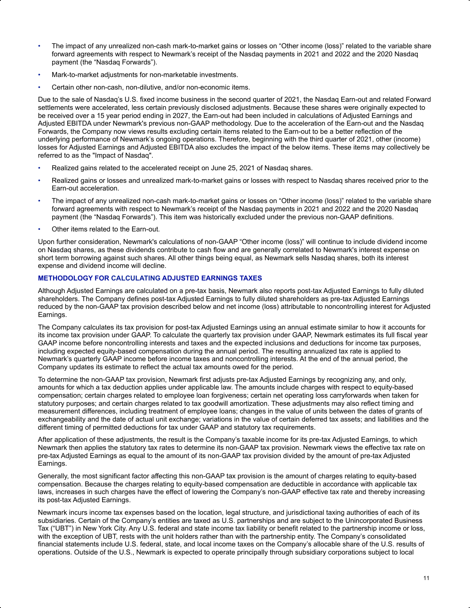- The impact of any unrealized non-cash mark-to-market gains or losses on "Other income (loss)" related to the variable share forward agreements with respect to Newmark's receipt of the Nasdaq payments in 2021 and 2022 and the 2020 Nasdaq payment (the "Nasdaq Forwards").
- Mark-to-market adjustments for non-marketable investments.
- Certain other non-cash, non-dilutive, and/or non-economic items.

Due to the sale of Nasdaq's U.S. fixed income business in the second quarter of 2021, the Nasdaq Earn-out and related Forward settlements were accelerated, less certain previously disclosed adjustments. Because these shares were originally expected to be received over a 15 year period ending in 2027, the Earn-out had been included in calculations of Adjusted Earnings and Adjusted EBITDA under Newmark's previous non-GAAP methodology. Due to the acceleration of the Earn-out and the Nasdaq Forwards, the Company now views results excluding certain items related to the Earn-out to be a better reflection of the underlying performance of Newmark's ongoing operations. Therefore, beginning with the third quarter of 2021, other (income) losses for Adjusted Earnings and Adjusted EBITDA also excludes the impact of the below items. These items may collectively be referred to as the "Impact of Nasdaq".

- Realized gains related to the accelerated receipt on June 25, 2021 of Nasdaq shares.
- Realized gains or losses and unrealized mark-to-market gains or losses with respect to Nasdaq shares received prior to the Earn-out acceleration.
- The impact of any unrealized non-cash mark-to-market gains or losses on "Other income (loss)" related to the variable share forward agreements with respect to Newmark's receipt of the Nasdaq payments in 2021 and 2022 and the 2020 Nasdaq payment (the "Nasdaq Forwards"). This item was historically excluded under the previous non-GAAP definitions.
- Other items related to the Earn-out.

Upon further consideration, Newmark's calculations of non-GAAP "Other income (loss)" will continue to include dividend income on Nasdaq shares, as these dividends contribute to cash flow and are generally correlated to Newmark's interest expense on short term borrowing against such shares. All other things being equal, as Newmark sells Nasdaq shares, both its interest expense and dividend income will decline.

## **METHODOLOGY FOR CALCULATING ADJUSTED EARNINGS TAXES**

Although Adjusted Earnings are calculated on a pre-tax basis, Newmark also reports post-tax Adjusted Earnings to fully diluted shareholders. The Company defines post-tax Adjusted Earnings to fully diluted shareholders as pre-tax Adjusted Earnings reduced by the non-GAAP tax provision described below and net income (loss) attributable to noncontrolling interest for Adjusted Earnings.

The Company calculates its tax provision for post-tax Adjusted Earnings using an annual estimate similar to how it accounts for its income tax provision under GAAP. To calculate the quarterly tax provision under GAAP, Newmark estimates its full fiscal year GAAP income before noncontrolling interests and taxes and the expected inclusions and deductions for income tax purposes, including expected equity-based compensation during the annual period. The resulting annualized tax rate is applied to Newmark's quarterly GAAP income before income taxes and noncontrolling interests. At the end of the annual period, the Company updates its estimate to reflect the actual tax amounts owed for the period.

To determine the non-GAAP tax provision, Newmark first adjusts pre-tax Adjusted Earnings by recognizing any, and only, amounts for which a tax deduction applies under applicable law. The amounts include charges with respect to equity-based compensation; certain charges related to employee loan forgiveness; certain net operating loss carryforwards when taken for statutory purposes; and certain charges related to tax goodwill amortization. These adjustments may also reflect timing and measurement differences, including treatment of employee loans; changes in the value of units between the dates of grants of exchangeability and the date of actual unit exchange; variations in the value of certain deferred tax assets; and liabilities and the different timing of permitted deductions for tax under GAAP and statutory tax requirements.

After application of these adjustments, the result is the Company's taxable income for its pre-tax Adjusted Earnings, to which Newmark then applies the statutory tax rates to determine its non-GAAP tax provision. Newmark views the effective tax rate on pre-tax Adjusted Earnings as equal to the amount of its non-GAAP tax provision divided by the amount of pre-tax Adjusted Earnings.

Generally, the most significant factor affecting this non-GAAP tax provision is the amount of charges relating to equity-based compensation. Because the charges relating to equity-based compensation are deductible in accordance with applicable tax laws, increases in such charges have the effect of lowering the Company's non-GAAP effective tax rate and thereby increasing its post-tax Adjusted Earnings.

Newmark incurs income tax expenses based on the location, legal structure, and jurisdictional taxing authorities of each of its subsidiaries. Certain of the Company's entities are taxed as U.S. partnerships and are subject to the Unincorporated Business Tax ("UBT") in New York City. Any U.S. federal and state income tax liability or benefit related to the partnership income or loss, with the exception of UBT, rests with the unit holders rather than with the partnership entity. The Company's consolidated financial statements include U.S. federal, state, and local income taxes on the Company's allocable share of the U.S. results of operations. Outside of the U.S., Newmark is expected to operate principally through subsidiary corporations subject to local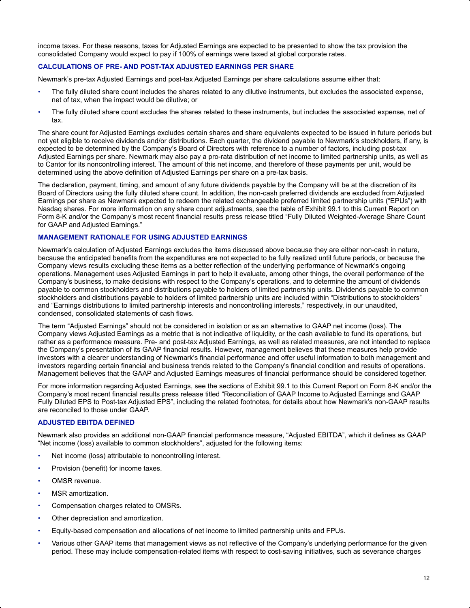income taxes. For these reasons, taxes for Adjusted Earnings are expected to be presented to show the tax provision the consolidated Company would expect to pay if 100% of earnings were taxed at global corporate rates.

## **CALCULATIONS OF PRE- AND POST-TAX ADJUSTED EARNINGS PER SHARE**

Newmark's pre-tax Adjusted Earnings and post-tax Adjusted Earnings per share calculations assume either that:

- The fully diluted share count includes the shares related to any dilutive instruments, but excludes the associated expense, net of tax, when the impact would be dilutive; or
- The fully diluted share count excludes the shares related to these instruments, but includes the associated expense, net of tax.

The share count for Adjusted Earnings excludes certain shares and share equivalents expected to be issued in future periods but not yet eligible to receive dividends and/or distributions. Each quarter, the dividend payable to Newmark's stockholders, if any, is expected to be determined by the Company's Board of Directors with reference to a number of factors, including post-tax Adjusted Earnings per share. Newmark may also pay a pro-rata distribution of net income to limited partnership units, as well as to Cantor for its noncontrolling interest. The amount of this net income, and therefore of these payments per unit, would be determined using the above definition of Adjusted Earnings per share on a pre-tax basis.

The declaration, payment, timing, and amount of any future dividends payable by the Company will be at the discretion of its Board of Directors using the fully diluted share count. In addition, the non-cash preferred dividends are excluded from Adjusted Earnings per share as Newmark expected to redeem the related exchangeable preferred limited partnership units ("EPUs") with Nasdaq shares. For more information on any share count adjustments, see the table of Exhibit 99.1 to this Current Report on Form 8-K and/or the Company's most recent financial results press release titled "Fully Diluted Weighted-Average Share Count for GAAP and Adjusted Earnings."

## **MANAGEMENT RATIONALE FOR USING ADJUSTED EARNINGS**

Newmark's calculation of Adjusted Earnings excludes the items discussed above because they are either non-cash in nature, because the anticipated benefits from the expenditures are not expected to be fully realized until future periods, or because the Company views results excluding these items as a better reflection of the underlying performance of Newmark's ongoing operations. Management uses Adjusted Earnings in part to help it evaluate, among other things, the overall performance of the Company's business, to make decisions with respect to the Company's operations, and to determine the amount of dividends payable to common stockholders and distributions payable to holders of limited partnership units. Dividends payable to common stockholders and distributions payable to holders of limited partnership units are included within "Distributions to stockholders" and "Earnings distributions to limited partnership interests and noncontrolling interests," respectively, in our unaudited, condensed, consolidated statements of cash flows.

The term "Adjusted Earnings" should not be considered in isolation or as an alternative to GAAP net income (loss). The Company views Adjusted Earnings as a metric that is not indicative of liquidity, or the cash available to fund its operations, but rather as a performance measure. Pre- and post-tax Adjusted Earnings, as well as related measures, are not intended to replace the Company's presentation of its GAAP financial results. However, management believes that these measures help provide investors with a clearer understanding of Newmark's financial performance and offer useful information to both management and investors regarding certain financial and business trends related to the Company's financial condition and results of operations. Management believes that the GAAP and Adjusted Earnings measures of financial performance should be considered together.

For more information regarding Adjusted Earnings, see the sections of Exhibit 99.1 to this Current Report on Form 8-K and/or the Company's most recent financial results press release titled "Reconciliation of GAAP Income to Adjusted Earnings and GAAP Fully Diluted EPS to Post-tax Adjusted EPS", including the related footnotes, for details about how Newmark's non-GAAP results are reconciled to those under GAAP.

## **ADJUSTED EBITDA DEFINED**

Newmark also provides an additional non-GAAP financial performance measure, "Adjusted EBITDA", which it defines as GAAP "Net income (loss) available to common stockholders", adjusted for the following items:

- Net income (loss) attributable to noncontrolling interest.
- Provision (benefit) for income taxes.
- OMSR revenue.
- MSR amortization.
- Compensation charges related to OMSRs.
- Other depreciation and amortization.
- Equity-based compensation and allocations of net income to limited partnership units and FPUs.
- Various other GAAP items that management views as not reflective of the Company's underlying performance for the given period. These may include compensation-related items with respect to cost-saving initiatives, such as severance charges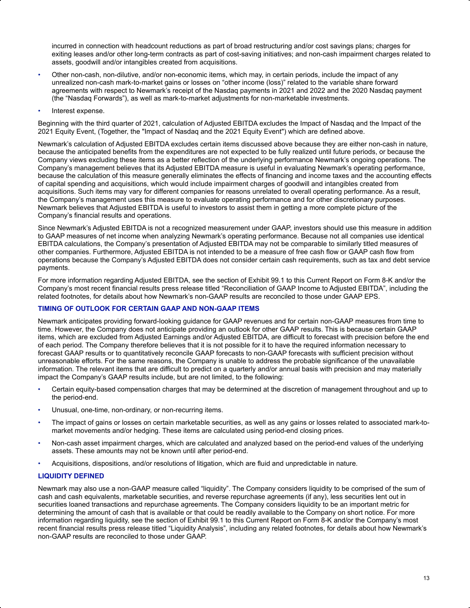incurred in connection with headcount reductions as part of broad restructuring and/or cost savings plans; charges for exiting leases and/or other long-term contracts as part of cost-saving initiatives; and non-cash impairment charges related to assets, goodwill and/or intangibles created from acquisitions.

- Other non-cash, non-dilutive, and/or non-economic items, which may, in certain periods, include the impact of any unrealized non-cash mark-to-market gains or losses on "other income (loss)" related to the variable share forward agreements with respect to Newmark's receipt of the Nasdaq payments in 2021 and 2022 and the 2020 Nasdaq payment (the "Nasdaq Forwards"), as well as mark-to-market adjustments for non-marketable investments.
- Interest expense.

Beginning with the third quarter of 2021, calculation of Adjusted EBITDA excludes the Impact of Nasdaq and the Impact of the 2021 Equity Event, (Together, the "Impact of Nasdaq and the 2021 Equity Event") which are defined above.

Newmark's calculation of Adjusted EBITDA excludes certain items discussed above because they are either non-cash in nature, because the anticipated benefits from the expenditures are not expected to be fully realized until future periods, or because the Company views excluding these items as a better reflection of the underlying performance Newmark's ongoing operations. The Company's management believes that its Adjusted EBITDA measure is useful in evaluating Newmark's operating performance, because the calculation of this measure generally eliminates the effects of financing and income taxes and the accounting effects of capital spending and acquisitions, which would include impairment charges of goodwill and intangibles created from acquisitions. Such items may vary for different companies for reasons unrelated to overall operating performance. As a result, the Company's management uses this measure to evaluate operating performance and for other discretionary purposes. Newmark believes that Adjusted EBITDA is useful to investors to assist them in getting a more complete picture of the Company's financial results and operations.

Since Newmark's Adjusted EBITDA is not a recognized measurement under GAAP, investors should use this measure in addition to GAAP measures of net income when analyzing Newmark's operating performance. Because not all companies use identical EBITDA calculations, the Company's presentation of Adjusted EBITDA may not be comparable to similarly titled measures of other companies. Furthermore, Adjusted EBITDA is not intended to be a measure of free cash flow or GAAP cash flow from operations because the Company's Adjusted EBITDA does not consider certain cash requirements, such as tax and debt service payments.

For more information regarding Adjusted EBITDA, see the section of Exhibit 99.1 to this Current Report on Form 8-K and/or the Company's most recent financial results press release titled "Reconciliation of GAAP Income to Adjusted EBITDA", including the related footnotes, for details about how Newmark's non-GAAP results are reconciled to those under GAAP EPS.

#### **TIMING OF OUTLOOK FOR CERTAIN GAAP AND NON-GAAP ITEMS**

Newmark anticipates providing forward-looking guidance for GAAP revenues and for certain non-GAAP measures from time to time. However, the Company does not anticipate providing an outlook for other GAAP results. This is because certain GAAP items, which are excluded from Adjusted Earnings and/or Adjusted EBITDA, are difficult to forecast with precision before the end of each period. The Company therefore believes that it is not possible for it to have the required information necessary to forecast GAAP results or to quantitatively reconcile GAAP forecasts to non-GAAP forecasts with sufficient precision without unreasonable efforts. For the same reasons, the Company is unable to address the probable significance of the unavailable information. The relevant items that are difficult to predict on a quarterly and/or annual basis with precision and may materially impact the Company's GAAP results include, but are not limited, to the following:

- Certain equity-based compensation charges that may be determined at the discretion of management throughout and up to the period-end.
- Unusual, one-time, non-ordinary, or non-recurring items.
- The impact of gains or losses on certain marketable securities, as well as any gains or losses related to associated mark-tomarket movements and/or hedging. These items are calculated using period-end closing prices.
- Non-cash asset impairment charges, which are calculated and analyzed based on the period-end values of the underlying assets. These amounts may not be known until after period-end.
- Acquisitions, dispositions, and/or resolutions of litigation, which are fluid and unpredictable in nature.

#### **LIQUIDITY DEFINED**

Newmark may also use a non-GAAP measure called "liquidity". The Company considers liquidity to be comprised of the sum of cash and cash equivalents, marketable securities, and reverse repurchase agreements (if any), less securities lent out in securities loaned transactions and repurchase agreements. The Company considers liquidity to be an important metric for determining the amount of cash that is available or that could be readily available to the Company on short notice. For more information regarding liquidity, see the section of Exhibit 99.1 to this Current Report on Form 8-K and/or the Company's most recent financial results press release titled "Liquidity Analysis", including any related footnotes, for details about how Newmark's non-GAAP results are reconciled to those under GAAP.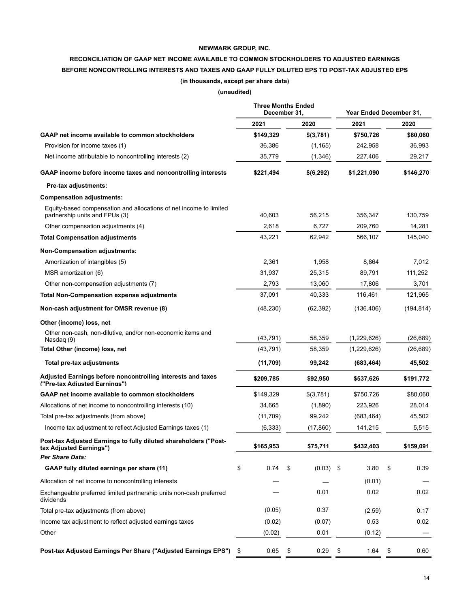## **NEWMARK GROUP, INC.**

## **RECONCILIATION OF GAAP NET INCOME AVAILABLE TO COMMON STOCKHOLDERS TO ADJUSTED EARNINGS BEFORE NONCONTROLLING INTERESTS AND TAXES AND GAAP FULLY DILUTED EPS TO POST-TAX ADJUSTED EPS**

## **(in thousands, except per share data)**

## **(unaudited)**

|                                                                                                                | <b>Three Months Ended</b><br>December 31. |    | Year Ended December 31, |    |             |    |            |
|----------------------------------------------------------------------------------------------------------------|-------------------------------------------|----|-------------------------|----|-------------|----|------------|
|                                                                                                                | 2021                                      |    | 2020                    |    | 2021        |    | 2020       |
| GAAP net income available to common stockholders                                                               | \$149,329                                 |    | \$(3,781)               |    | \$750,726   |    | \$80,060   |
| Provision for income taxes (1)                                                                                 | 36,386                                    |    | (1, 165)                |    | 242,958     |    | 36,993     |
| Net income attributable to noncontrolling interests (2)                                                        | 35,779                                    |    | (1,346)                 |    | 227,406     |    | 29,217     |
| GAAP income before income taxes and noncontrolling interests                                                   | \$221,494                                 |    | \$(6,292)               |    | \$1,221,090 |    | \$146,270  |
| Pre-tax adjustments:                                                                                           |                                           |    |                         |    |             |    |            |
| <b>Compensation adjustments:</b>                                                                               |                                           |    |                         |    |             |    |            |
| Equity-based compensation and allocations of net income to limited<br>partnership units and FPUs (3)           | 40,603                                    |    | 56,215                  |    | 356,347     |    | 130,759    |
| Other compensation adjustments (4)                                                                             | 2,618                                     |    | 6,727                   |    | 209,760     |    | 14,281     |
| <b>Total Compensation adjustments</b>                                                                          | 43,221                                    |    | 62,942                  |    | 566,107     |    | 145,040    |
| <b>Non-Compensation adjustments:</b>                                                                           |                                           |    |                         |    |             |    |            |
| Amortization of intangibles (5)                                                                                | 2,361                                     |    | 1,958                   |    | 8,864       |    | 7,012      |
| MSR amortization (6)                                                                                           | 31,937                                    |    | 25,315                  |    | 89,791      |    | 111,252    |
| Other non-compensation adjustments (7)                                                                         | 2,793                                     |    | 13,060                  |    | 17,806      |    | 3,701      |
| <b>Total Non-Compensation expense adjustments</b>                                                              | 37,091                                    |    | 40,333                  |    | 116,461     |    | 121,965    |
| Non-cash adjustment for OMSR revenue (8)                                                                       | (48, 230)                                 |    | (62, 392)               |    | (136, 406)  |    | (194, 814) |
| Other (income) loss, net                                                                                       |                                           |    |                         |    |             |    |            |
| Other non-cash, non-dilutive, and/or non-economic items and<br>Nasdag (9)                                      | (43, 791)                                 |    | 58,359                  |    | (1,229,626) |    | (26,689)   |
| Total Other (income) loss, net                                                                                 | (43, 791)                                 |    | 58,359                  |    | (1,229,626) |    | (26, 689)  |
| <b>Total pre-tax adjustments</b>                                                                               | (11, 709)                                 |    | 99,242                  |    | (683, 464)  |    | 45,502     |
| Adjusted Earnings before noncontrolling interests and taxes<br>("Pre-tax Adiusted Earnings")                   | \$209,785                                 |    | \$92,950                |    | \$537,626   |    | \$191,772  |
| GAAP net income available to common stockholders                                                               | \$149,329                                 |    | \$(3,781)               |    | \$750,726   |    | \$80,060   |
| Allocations of net income to noncontrolling interests (10)                                                     | 34,665                                    |    | (1,890)                 |    | 223,926     |    | 28,014     |
| Total pre-tax adjustments (from above)                                                                         | (11, 709)                                 |    | 99,242                  |    | (683, 464)  |    | 45,502     |
| Income tax adjustment to reflect Adjusted Earnings taxes (1)                                                   | (6, 333)                                  |    | (17, 860)               |    | 141,215     |    | 5,515      |
| Post-tax Adjusted Earnings to fully diluted shareholders ("Post-<br>tax Adjusted Earnings")<br>Per Share Data: | \$165,953                                 |    | \$75,711                |    | \$432,403   |    | \$159,091  |
| GAAP fully diluted earnings per share (11)                                                                     | \$<br>0.74                                | \$ | $(0.03)$ \$             |    | 3.80        | \$ | 0.39       |
| Allocation of net income to noncontrolling interests                                                           |                                           |    |                         |    | (0.01)      |    |            |
| Exchangeable preferred limited partnership units non-cash preferred<br>dividends                               |                                           |    | 0.01                    |    | 0.02        |    | 0.02       |
| Total pre-tax adjustments (from above)                                                                         | (0.05)                                    |    | 0.37                    |    | (2.59)      |    | 0.17       |
| Income tax adjustment to reflect adjusted earnings taxes                                                       | (0.02)                                    |    | (0.07)                  |    | 0.53        |    | 0.02       |
| Other                                                                                                          | (0.02)                                    |    | 0.01                    |    | (0.12)      |    |            |
| Post-tax Adjusted Earnings Per Share ("Adjusted Earnings EPS")                                                 | \$<br>0.65                                | \$ | 0.29                    | \$ | 1.64        | \$ | 0.60       |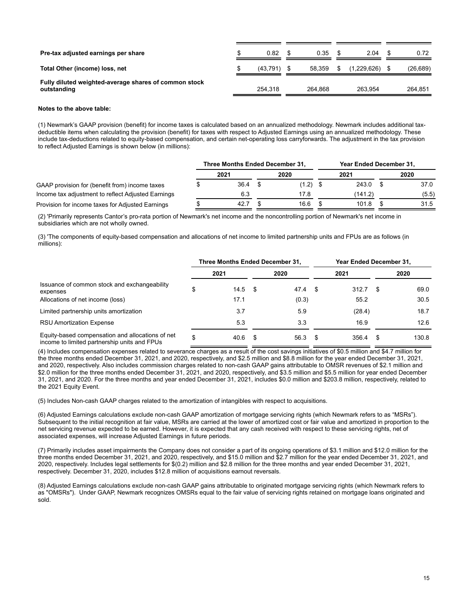| Pre-tax adjusted earnings per share                                  | 0.82     | 0.35    | 2.04        | 0.72     |
|----------------------------------------------------------------------|----------|---------|-------------|----------|
| Total Other (income) loss, net                                       | (43.791) | 58.359  | (1.229.626) | (26,689) |
| Fully diluted weighted-average shares of common stock<br>outstanding | 254.318  | 264.868 | 263.954     | 264,851  |

#### **Notes to the above table:**

(1) Newmark's GAAP provision (benefit) for income taxes is calculated based on an annualized methodology. Newmark includes additional taxdeductible items when calculating the provision (benefit) for taxes with respect to Adjusted Earnings using an annualized methodology. These include tax-deductions related to equity-based compensation, and certain net-operating loss carryforwards. The adjustment in the tax provision to reflect Adjusted Earnings is shown below (in millions):

|                                                    |      | Three Months Ended December 31,<br>Year Ended December 31, |            |  |         |  |       |  |  |
|----------------------------------------------------|------|------------------------------------------------------------|------------|--|---------|--|-------|--|--|
|                                                    | 2021 |                                                            | 2020       |  | 2021    |  | 2020  |  |  |
| GAAP provision for (benefit from) income taxes     | 36.4 |                                                            | $(1.2)$ \$ |  | 243.0   |  | 37.0  |  |  |
| Income tax adjustment to reflect Adjusted Earnings | 6.3  |                                                            | 17.8       |  | (141.2) |  | (5.5) |  |  |
| Provision for income taxes for Adjusted Earnings   | 42.7 |                                                            | 16.6       |  | 101.8   |  | 31.5  |  |  |

(2) 'Primarily represents Cantor's pro-rata portion of Newmark's net income and the noncontrolling portion of Newmark's net income in subsidiaries which are not wholly owned.

(3) 'The components of equity-based compensation and allocations of net income to limited partnership units and FPUs are as follows (in millions):

|                                                                                                  | Three Months Ended December 31, |     |       |      |        | Year Ended December 31, |       |  |
|--------------------------------------------------------------------------------------------------|---------------------------------|-----|-------|------|--------|-------------------------|-------|--|
|                                                                                                  | 2021                            |     | 2020  |      | 2021   |                         | 2020  |  |
| Issuance of common stock and exchangeability<br>expenses                                         | \$<br>14.5                      | -\$ | 47.4  | - \$ | 312.7  | S                       | 69.0  |  |
| Allocations of net income (loss)                                                                 | 17.1                            |     | (0.3) |      | 55.2   |                         | 30.5  |  |
| Limited partnership units amortization                                                           | 3.7                             |     | 5.9   |      | (28.4) |                         | 18.7  |  |
| <b>RSU Amortization Expense</b>                                                                  | 5.3                             |     | 3.3   |      | 16.9   |                         | 12.6  |  |
| Equity-based compensation and allocations of net<br>income to limited partnership units and FPUs | \$<br>40.6                      | S   | 56.3  | - \$ | 356.4  | S                       | 130.8 |  |

(4) Includes compensation expenses related to severance charges as a result of the cost savings initiatives of \$0.5 million and \$4.7 million for the three months ended December 31, 2021, and 2020, respectively, and \$2.5 million and \$8.8 million for the year ended December 31, 2021, and 2020, respectively. Also includes commission charges related to non-cash GAAP gains attributable to OMSR revenues of \$2.1 million and \$2.0 million for the three months ended December 31, 2021, and 2020, respectively, and \$3.5 million and \$5.5 million for year ended December 31, 2021, and 2020. For the three months and year ended December 31, 2021, includes \$0.0 million and \$203.8 million, respectively, related to the 2021 Equity Event.

(5) Includes Non-cash GAAP charges related to the amortization of intangibles with respect to acquisitions.

(6) Adjusted Earnings calculations exclude non-cash GAAP amortization of mortgage servicing rights (which Newmark refers to as "MSRs"). Subsequent to the initial recognition at fair value, MSRs are carried at the lower of amortized cost or fair value and amortized in proportion to the net servicing revenue expected to be earned. However, it is expected that any cash received with respect to these servicing rights, net of associated expenses, will increase Adjusted Earnings in future periods.

(7) Primarily includes asset impairments the Company does not consider a part of its ongoing operations of \$3.1 million and \$12.0 million for the three months ended December 31, 2021, and 2020, respectively, and \$15.0 million and \$2.7 million for the year ended December 31, 2021, and 2020, respectively. Includes legal settlements for \$(0.2) million and \$2.8 million for the three months and year ended December 31, 2021, respectively. December 31, 2020, includes \$12.8 million of acquisitions earnout reversals.

(8) Adjusted Earnings calculations exclude non-cash GAAP gains attributable to originated mortgage servicing rights (which Newmark refers to as "OMSRs"). Under GAAP, Newmark recognizes OMSRs equal to the fair value of servicing rights retained on mortgage loans originated and sold.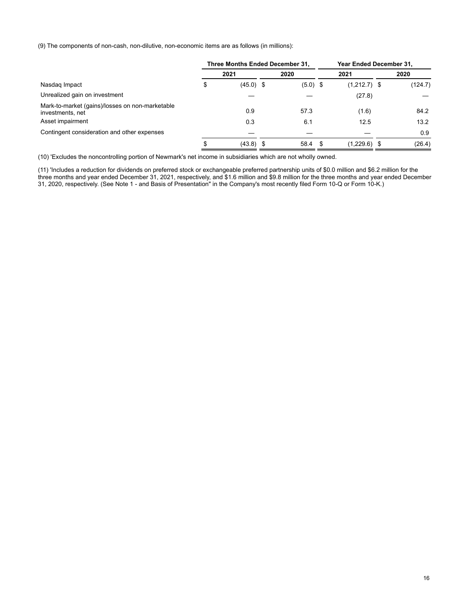(9) The components of non-cash, non-dilutive, non-economic items are as follows (in millions):

|                                                                     |                   | Three Months Ended December 31, |            |  | Year Ended December 31, |  |         |
|---------------------------------------------------------------------|-------------------|---------------------------------|------------|--|-------------------------|--|---------|
|                                                                     | 2021              |                                 | 2020       |  | 2021                    |  | 2020    |
| Nasdag Impact                                                       | \$<br>$(45.0)$ \$ |                                 | $(5.0)$ \$ |  | $(1,212.7)$ \$          |  | (124.7) |
| Unrealized gain on investment                                       |                   |                                 |            |  | (27.8)                  |  |         |
| Mark-to-market (gains)/losses on non-marketable<br>investments, net | 0.9               |                                 | 57.3       |  | (1.6)                   |  | 84.2    |
| Asset impairment                                                    | 0.3               |                                 | 6.1        |  | 12.5                    |  | 13.2    |
| Contingent consideration and other expenses                         |                   |                                 |            |  |                         |  | 0.9     |
|                                                                     | $(43.8)$ \$       |                                 | 58.4       |  | $(1,229.6)$ \$          |  | (26.4)  |

(10) 'Excludes the noncontrolling portion of Newmark's net income in subsidiaries which are not wholly owned.

(11) 'Includes a reduction for dividends on preferred stock or exchangeable preferred partnership units of \$0.0 million and \$6.2 million for the three months and year ended December 31, 2021, respectively, and \$1.6 million and \$9.8 million for the three months and year ended December 31, 2020, respectively. (See Note 1 - and Basis of Presentation" in the Company's most recently filed Form 10-Q or Form 10-K.)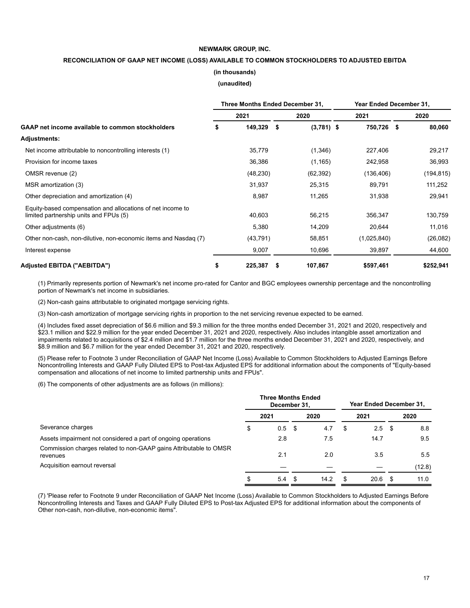#### **NEWMARK GROUP, INC.**

#### **RECONCILIATION OF GAAP NET INCOME (LOSS) AVAILABLE TO COMMON STOCKHOLDERS TO ADJUSTED EBITDA**

#### **(in thousands)**

**(unaudited)**

|                                                                                                      | <b>Three Months Ended December 31,</b> |      |              | Year Ended December 31, |             |      |            |
|------------------------------------------------------------------------------------------------------|----------------------------------------|------|--------------|-------------------------|-------------|------|------------|
|                                                                                                      | 2021                                   |      | 2020         |                         | 2021        |      | 2020       |
| GAAP net income available to common stockholders                                                     | \$<br>149,329                          | - \$ | $(3,781)$ \$ |                         | 750,726     | - \$ | 80,060     |
| Adjustments:                                                                                         |                                        |      |              |                         |             |      |            |
| Net income attributable to noncontrolling interests (1)                                              | 35,779                                 |      | (1,346)      |                         | 227,406     |      | 29,217     |
| Provision for income taxes                                                                           | 36,386                                 |      | (1, 165)     |                         | 242,958     |      | 36,993     |
| OMSR revenue (2)                                                                                     | (48, 230)                              |      | (62, 392)    |                         | (136, 406)  |      | (194, 815) |
| MSR amortization (3)                                                                                 | 31,937                                 |      | 25,315       |                         | 89,791      |      | 111,252    |
| Other depreciation and amortization (4)                                                              | 8,987                                  |      | 11,265       |                         | 31,938      |      | 29,941     |
| Equity-based compensation and allocations of net income to<br>limited partnership units and FPUs (5) | 40,603                                 |      | 56,215       |                         | 356,347     |      | 130,759    |
| Other adjustments (6)                                                                                | 5,380                                  |      | 14,209       |                         | 20,644      |      | 11,016     |
| Other non-cash, non-dilutive, non-economic items and Nasdag (7)                                      | (43, 791)                              |      | 58,851       |                         | (1,025,840) |      | (26,082)   |
| Interest expense                                                                                     | 9,007                                  |      | 10,696       |                         | 39,897      |      | 44,600     |
| <b>Adjusted EBITDA ("AEBITDA")</b>                                                                   | \$<br>225,387                          | \$   | 107,867      |                         | \$597,461   |      | \$252,941  |

(1) Primarily represents portion of Newmark's net income pro-rated for Cantor and BGC employees ownership percentage and the noncontrolling portion of Newmark's net income in subsidiaries.

(2) Non-cash gains attributable to originated mortgage servicing rights.

(3) Non-cash amortization of mortgage servicing rights in proportion to the net servicing revenue expected to be earned.

(4) Includes fixed asset depreciation of \$6.6 million and \$9.3 million for the three months ended December 31, 2021 and 2020, respectively and \$23.1 million and \$22.9 million for the year ended December 31, 2021 and 2020, respectively. Also includes intangible asset amortization and impairments related to acquisitions of \$2.4 million and \$1.7 million for the three months ended December 31, 2021 and 2020, respectively, and \$8.9 million and \$6.7 million for the year ended December 31, 2021 and 2020, respectively.

(5) Please refer to Footnote 3 under Reconciliation of GAAP Net Income (Loss) Available to Common Stockholders to Adjusted Earnings Before Noncontrolling Interests and GAAP Fully Diluted EPS to Post-tax Adjusted EPS for additional information about the components of "Equity-based compensation and allocations of net income to limited partnership units and FPUs".

(6) The components of other adjustments are as follows (in millions):

|                                                                               | <b>Three Months Ended</b><br>December 31, |      |      | Year Ended December 31, |   |          |  |        |
|-------------------------------------------------------------------------------|-------------------------------------------|------|------|-------------------------|---|----------|--|--------|
|                                                                               |                                           | 2021 |      | 2020                    |   | 2021     |  | 2020   |
| Severance charges                                                             | \$                                        | 0.5  | - \$ | 4.7                     | S | $2.5$ \$ |  | 8.8    |
| Assets impairment not considered a part of ongoing operations                 |                                           | 2.8  |      | 7.5                     |   | 14.7     |  | 9.5    |
| Commission charges related to non-GAAP gains Attributable to OMSR<br>revenues |                                           | 2.1  |      | 2.0                     |   | 3.5      |  | 5.5    |
| Acquisition earnout reversal                                                  |                                           |      |      |                         |   |          |  | (12.8) |
|                                                                               | \$                                        | 5.4  |      | 14.2                    | S | 20.6     |  | 11.0   |

(7) 'Please refer to Footnote 9 under Reconciliation of GAAP Net Income (Loss) Available to Common Stockholders to Adjusted Earnings Before Noncontrolling Interests and Taxes and GAAP Fully Diluted EPS to Post-tax Adjusted EPS for additional information about the components of Other non-cash, non-dilutive, non-economic items".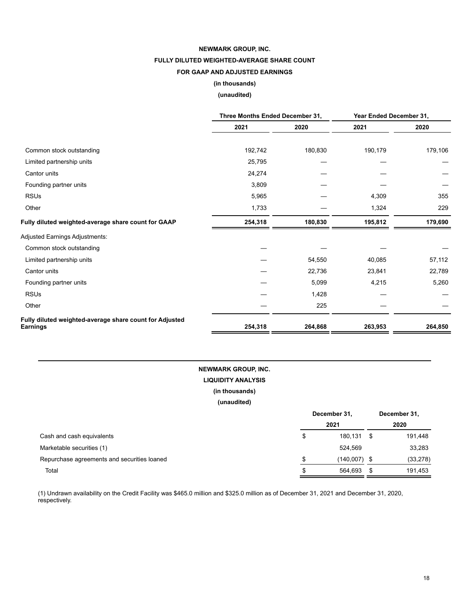## **NEWMARK GROUP, INC.**

## **FULLY DILUTED WEIGHTED-AVERAGE SHARE COUNT**

## **FOR GAAP AND ADJUSTED EARNINGS**

## **(in thousands)**

## **(unaudited)**

|                                                                            | Three Months Ended December 31, |         | Year Ended December 31, |         |  |
|----------------------------------------------------------------------------|---------------------------------|---------|-------------------------|---------|--|
|                                                                            | 2021                            | 2020    | 2021                    | 2020    |  |
| Common stock outstanding                                                   | 192,742                         | 180,830 | 190,179                 | 179,106 |  |
| Limited partnership units                                                  | 25,795                          |         |                         |         |  |
| Cantor units                                                               | 24,274                          |         |                         |         |  |
| Founding partner units                                                     | 3,809                           |         |                         |         |  |
| <b>RSUs</b>                                                                | 5,965                           |         | 4,309                   | 355     |  |
| Other                                                                      | 1,733                           |         | 1,324                   | 229     |  |
| Fully diluted weighted-average share count for GAAP                        | 254,318                         | 180,830 | 195,812                 | 179,690 |  |
| Adjusted Earnings Adjustments:                                             |                                 |         |                         |         |  |
| Common stock outstanding                                                   |                                 |         |                         |         |  |
| Limited partnership units                                                  |                                 | 54,550  | 40,085                  | 57,112  |  |
| Cantor units                                                               |                                 | 22,736  | 23,841                  | 22,789  |  |
| Founding partner units                                                     |                                 | 5,099   | 4,215                   | 5,260   |  |
| <b>RSUs</b>                                                                |                                 | 1,428   |                         |         |  |
| Other                                                                      |                                 | 225     |                         |         |  |
| Fully diluted weighted-average share count for Adjusted<br><b>Earnings</b> | 254,318                         | 264,868 | 263,953                 | 264,850 |  |

## **NEWMARK GROUP, INC. LIQUIDITY ANALYSIS (in thousands)**

## **(unaudited)**

|                                             | December 31,    | December 31,  |
|---------------------------------------------|-----------------|---------------|
|                                             | 2021            | 2020          |
| Cash and cash equivalents                   | \$<br>180.131   | \$<br>191,448 |
| Marketable securities (1)                   | 524.569         | 33,283        |
| Repurchase agreements and securities loaned | \$<br>(140,007) | (33, 278)     |
| Total                                       | \$<br>564,693   | 191,453       |

(1) Undrawn availability on the Credit Facility was \$465.0 million and \$325.0 million as of December 31, 2021 and December 31, 2020, respectively.